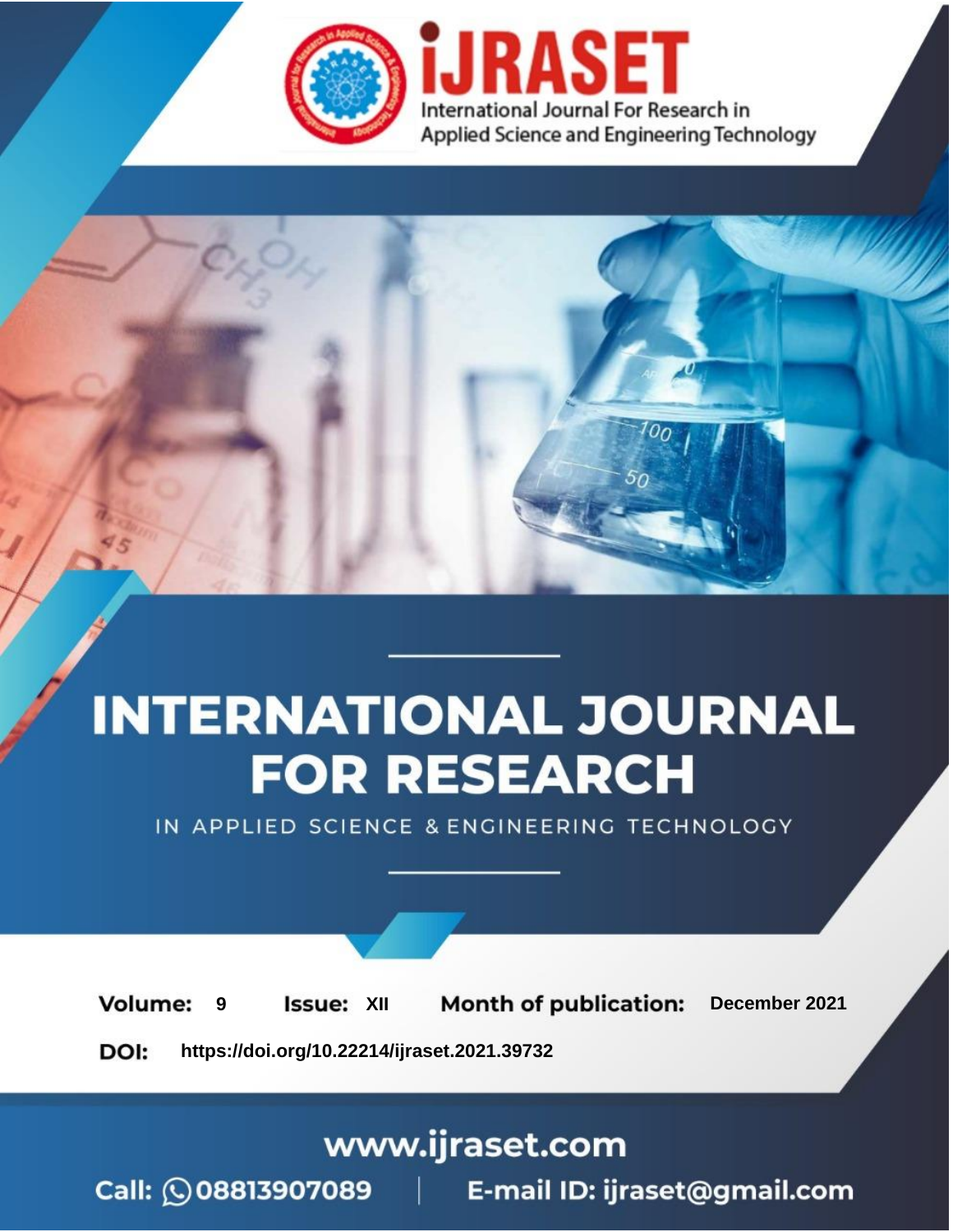



IN APPLIED SCIENCE & ENGINEERING TECHNOLOGY

**9 Issue:** XII **Month of publication:** December 2021 **Volume: https://doi.org/10.22214/ijraset.2021.39732**DOI:

www.ijraset.com

Call: 008813907089 | E-mail ID: ijraset@gmail.com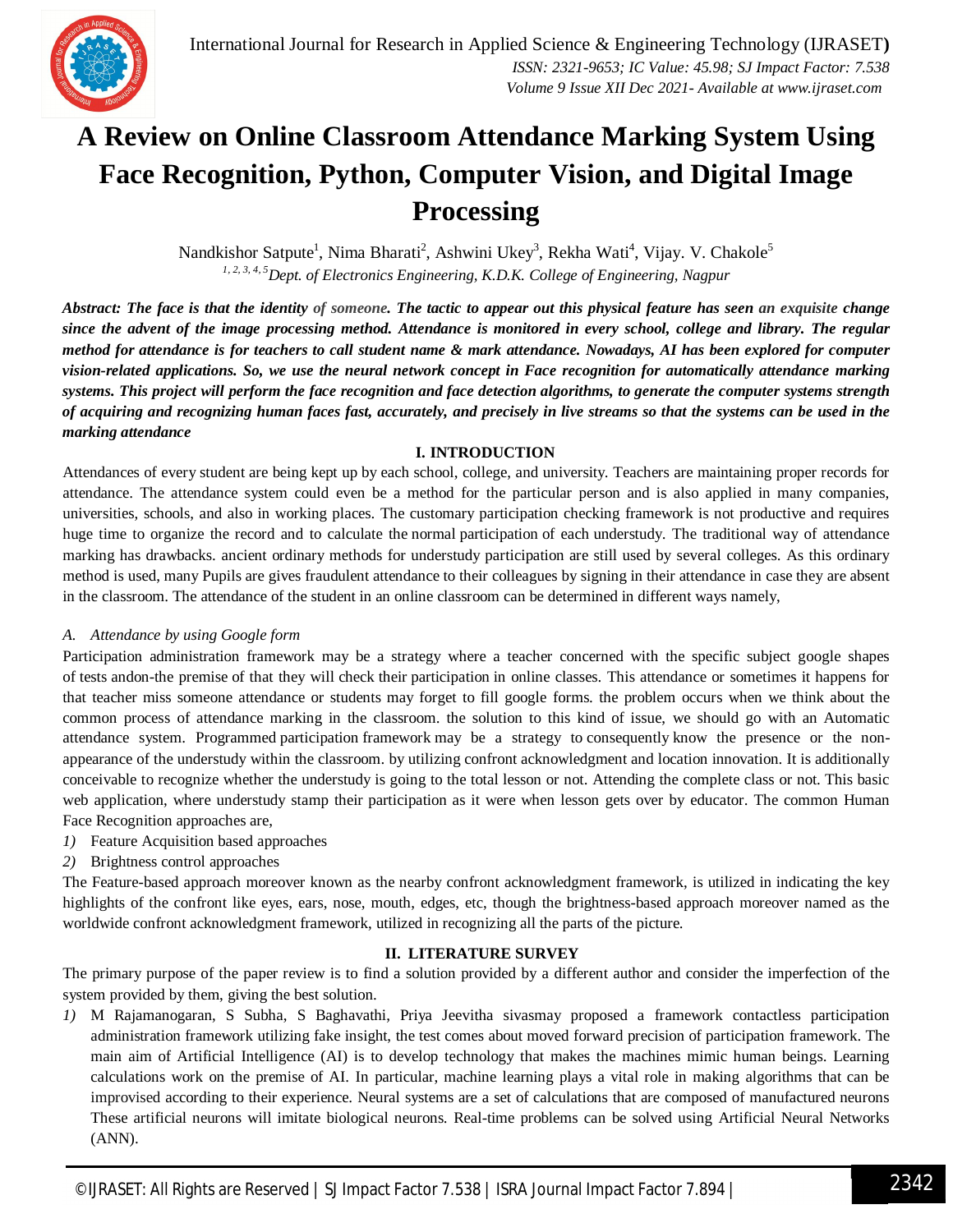

# **A Review on Online Classroom Attendance Marking System Using Face Recognition, Python, Computer Vision, and Digital Image Processing**

Nandkishor Satpute<sup>1</sup>, Nima Bharati<sup>2</sup>, Ashwini Ukey<sup>3</sup>, Rekha Wati<sup>4</sup>, Vijay. V. Chakole<sup>5</sup> *1, 2, 3, 4, 5Dept. of Electronics Engineering, K.D.K. College of Engineering, Nagpur*

*Abstract: The face is that the identity of someone. The tactic to appear out this physical feature has seen an exquisite change since the advent of the image processing method. Attendance is monitored in every school, college and library. The regular method for attendance is for teachers to call student name & mark attendance. Nowadays, AI has been explored for computer vision-related applications. So, we use the neural network concept in Face recognition for automatically attendance marking systems. This project will perform the face recognition and face detection algorithms, to generate the computer systems strength of acquiring and recognizing human faces fast, accurately, and precisely in live streams so that the systems can be used in the marking attendance*

### **I. INTRODUCTION**

Attendances of every student are being kept up by each school, college, and university. Teachers are maintaining proper records for attendance. The attendance system could even be a method for the particular person and is also applied in many companies, universities, schools, and also in working places. The customary participation checking framework is not productive and requires huge time to organize the record and to calculate the normal participation of each understudy. The traditional way of attendance marking has drawbacks. ancient ordinary methods for understudy participation are still used by several colleges. As this ordinary method is used, many Pupils are gives fraudulent attendance to their colleagues by signing in their attendance in case they are absent in the classroom. The attendance of the student in an online classroom can be determined in different ways namely,

### *A. Attendance by using Google form*

Participation administration framework may be a strategy where a teacher concerned with the specific subject google shapes of tests andon-the premise of that they will check their participation in online classes. This attendance or sometimes it happens for that teacher miss someone attendance or students may forget to fill google forms. the problem occurs when we think about the common process of attendance marking in the classroom. the solution to this kind of issue, we should go with an Automatic attendance system. Programmed participation framework may be a strategy to consequently know the presence or the nonappearance of the understudy within the classroom. by utilizing confront acknowledgment and location innovation. It is additionally conceivable to recognize whether the understudy is going to the total lesson or not. Attending the complete class or not. This basic web application, where understudy stamp their participation as it were when lesson gets over by educator. The common Human Face Recognition approaches are,

- *1)* Feature Acquisition based approaches
- *2)* Brightness control approaches

The Feature-based approach moreover known as the nearby confront acknowledgment framework, is utilized in indicating the key highlights of the confront like eyes, ears, nose, mouth, edges, etc, though the brightness-based approach moreover named as the worldwide confront acknowledgment framework, utilized in recognizing all the parts of the picture.

### **II. LITERATURE SURVEY**

The primary purpose of the paper review is to find a solution provided by a different author and consider the imperfection of the system provided by them, giving the best solution.

*1)* M Rajamanogaran, S Subha, S Baghavathi, Priya Jeevitha sivasmay proposed a framework contactless participation administration framework utilizing fake insight, the test comes about moved forward precision of participation framework. The main aim of Artificial Intelligence (AI) is to develop technology that makes the machines mimic human beings. Learning calculations work on the premise of AI. In particular, machine learning plays a vital role in making algorithms that can be improvised according to their experience. Neural systems are a set of calculations that are composed of manufactured neurons These artificial neurons will imitate biological neurons. Real-time problems can be solved using Artificial Neural Networks (ANN).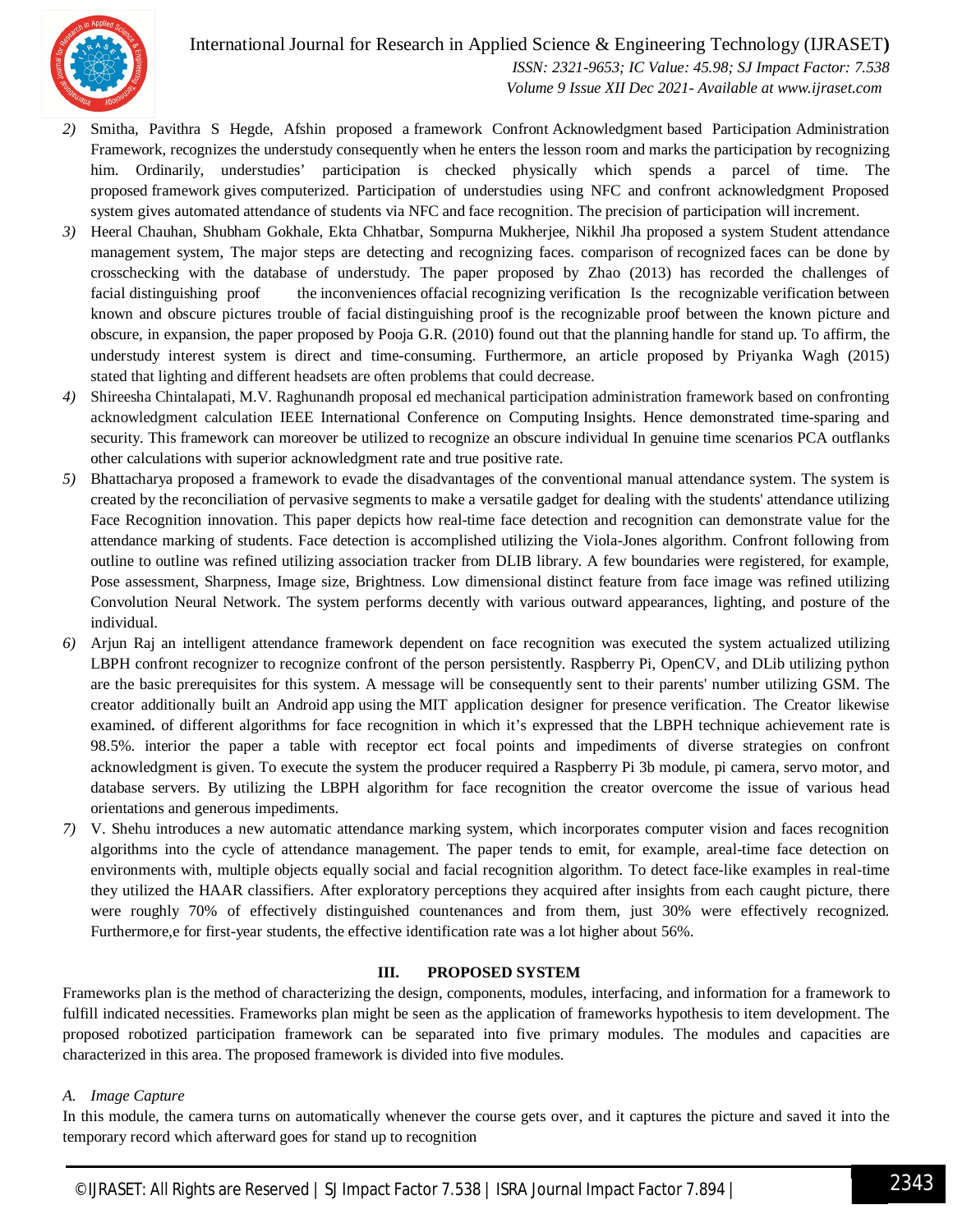

International Journal for Research in Applied Science & Engineering Technology (IJRASET**)**

 *ISSN: 2321-9653; IC Value: 45.98; SJ Impact Factor: 7.538 Volume 9 Issue XII Dec 2021- Available at www.ijraset.com*

- *2)* Smitha, Pavithra S Hegde, Afshin proposed a framework Confront Acknowledgment based Participation Administration Framework, recognizes the understudy consequently when he enters the lesson room and marks the participation by recognizing him. Ordinarily, understudies' participation is checked physically which spends a parcel of time. The proposed framework gives computerized. Participation of understudies using NFC and confront acknowledgment Proposed system gives automated attendance of students via NFC and face recognition. The precision of participation will increment.
- *3)* Heeral Chauhan, Shubham Gokhale, Ekta Chhatbar, Sompurna Mukherjee, Nikhil Jha proposed a system Student attendance management system, The major steps are detecting and recognizing faces. comparison of recognized faces can be done by crosschecking with the database of understudy. The paper proposed by Zhao (2013) has recorded the challenges of facial distinguishing proof the inconveniences offacial recognizing verification Is the recognizable verification between known and obscure pictures trouble of facial distinguishing proof is the recognizable proof between the known picture and obscure, in expansion, the paper proposed by Pooja G.R. (2010) found out that the planning handle for stand up. To affirm, the understudy interest system is direct and time-consuming. Furthermore, an article proposed by Priyanka Wagh (2015) stated that lighting and different headsets are often problems that could decrease.
- *4)* Shireesha Chintalapati, M.V. Raghunandh proposal ed mechanical participation administration framework based on confronting acknowledgment calculation IEEE International Conference on Computing Insights. Hence demonstrated time-sparing and security. This framework can moreover be utilized to recognize an obscure individual In genuine time scenarios PCA outflanks other calculations with superior acknowledgment rate and true positive rate.
- *5)* Bhattacharya proposed a framework to evade the disadvantages of the conventional manual attendance system. The system is created by the reconciliation of pervasive segments to make a versatile gadget for dealing with the students' attendance utilizing Face Recognition innovation. This paper depicts how real-time face detection and recognition can demonstrate value for the attendance marking of students. Face detection is accomplished utilizing the Viola-Jones algorithm. Confront following from outline to outline was refined utilizing association tracker from DLIB library. A few boundaries were registered, for example, Pose assessment, Sharpness, Image size, Brightness. Low dimensional distinct feature from face image was refined utilizing Convolution Neural Network. The system performs decently with various outward appearances, lighting, and posture of the individual.
- *6)* Arjun Raj an intelligent attendance framework dependent on face recognition was executed the system actualized utilizing LBPH confront recognizer to recognize confront of the person persistently. Raspberry Pi, OpenCV, and DLib utilizing python are the basic prerequisites for this system. A message will be consequently sent to their parents' number utilizing GSM. The creator additionally built an Android app using the MIT application designer for presence verification. The Creator likewise examined**.** of different algorithms for face recognition in which it's expressed that the LBPH technique achievement rate is 98.5%. interior the paper a table with receptor ect focal points and impediments of diverse strategies on confront acknowledgment is given. To execute the system the producer required a Raspberry Pi 3b module, pi camera, servo motor, and database servers. By utilizing the LBPH algorithm for face recognition the creator overcome the issue of various head orientations and generous impediments.
- *7)* V. Shehu introduces a new automatic attendance marking system, which incorporates computer vision and faces recognition algorithms into the cycle of attendance management. The paper tends to emit, for example, areal-time face detection on environments with, multiple objects equally social and facial recognition algorithm. To detect face-like examples in real-time they utilized the HAAR classifiers. After exploratory perceptions they acquired after insights from each caught picture, there were roughly 70% of effectively distinguished countenances and from them, just 30% were effectively recognized. Furthermore, e for first-year students, the effective identification rate was a lot higher about 56%.

#### **III. PROPOSED SYSTEM**

Frameworks plan is the method of characterizing the design, components, modules, interfacing, and information for a framework to fulfill indicated necessities. Frameworks plan might be seen as the application of frameworks hypothesis to item development. The proposed robotized participation framework can be separated into five primary modules. The modules and capacities are characterized in this area. The proposed framework is divided into five modules.

#### *A. Image Capture*

In this module, the camera turns on automatically whenever the course gets over, and it captures the picture and saved it into the temporary record which afterward goes for stand up to recognition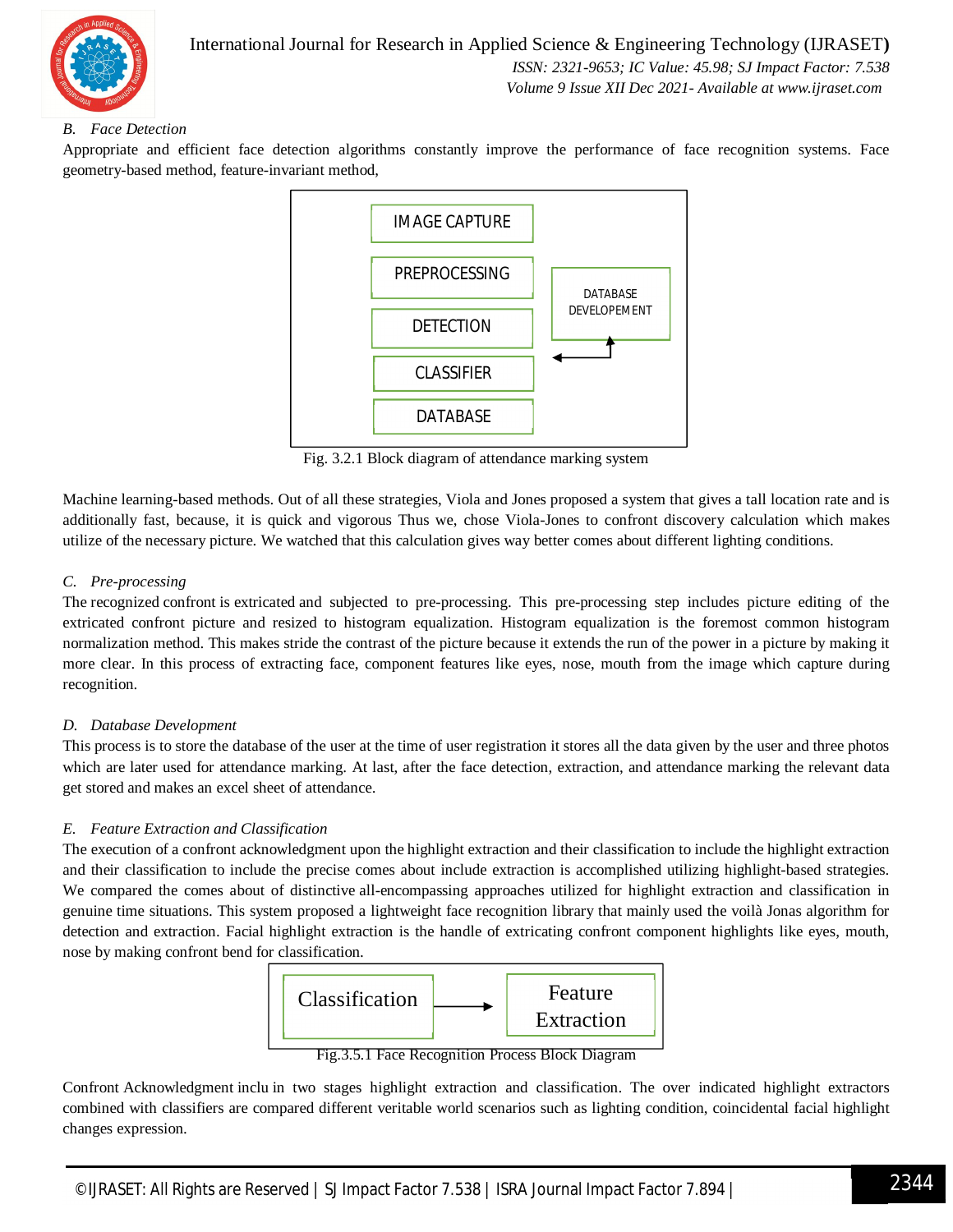

# *B. Face Detection*

Appropriate and efficient face detection algorithms constantly improve the performance of face recognition systems. Face geometry-based method, feature-invariant method,



Fig. 3.2.1 Block diagram of attendance marking system

Machine learning-based methods. Out of all these strategies, Viola and Jones proposed a system that gives a tall location rate and is additionally fast, because, it is quick and vigorous Thus we, chose Viola-Jones to confront discovery calculation which makes utilize of the necessary picture. We watched that this calculation gives way better comes about different lighting conditions.

### *C. Pre-processing*

The recognized confront is extricated and subjected to pre-processing. This pre-processing step includes picture editing of the extricated confront picture and resized to histogram equalization. Histogram equalization is the foremost common histogram normalization method. This makes stride the contrast of the picture because it extends the run of the power in a picture by making it more clear. In this process of extracting face, component features like eyes, nose, mouth from the image which capture during recognition.

### *D. Database Development*

This process is to store the database of the user at the time of user registration it stores all the data given by the user and three photos which are later used for attendance marking. At last, after the face detection, extraction, and attendance marking the relevant data get stored and makes an excel sheet of attendance.

# *E. Feature Extraction and Classification*

The execution of a confront acknowledgment upon the highlight extraction and their classification to include the highlight extraction and their classification to include the precise comes about include extraction is accomplished utilizing highlight-based strategies. We compared the comes about of distinctive all-encompassing approaches utilized for highlight extraction and classification in genuine time situations. This system proposed a lightweight face recognition library that mainly used the voilà Jonas algorithm for detection and extraction. Facial highlight extraction is the handle of extricating confront component highlights like eyes, mouth, nose by making confront bend for classification.



Fig.3.5.1 Face Recognition Process Block Diagram

Confront Acknowledgment inclu in two stages highlight extraction and classification. The over indicated highlight extractors combined with classifiers are compared different veritable world scenarios such as lighting condition, coincidental facial highlight changes expression.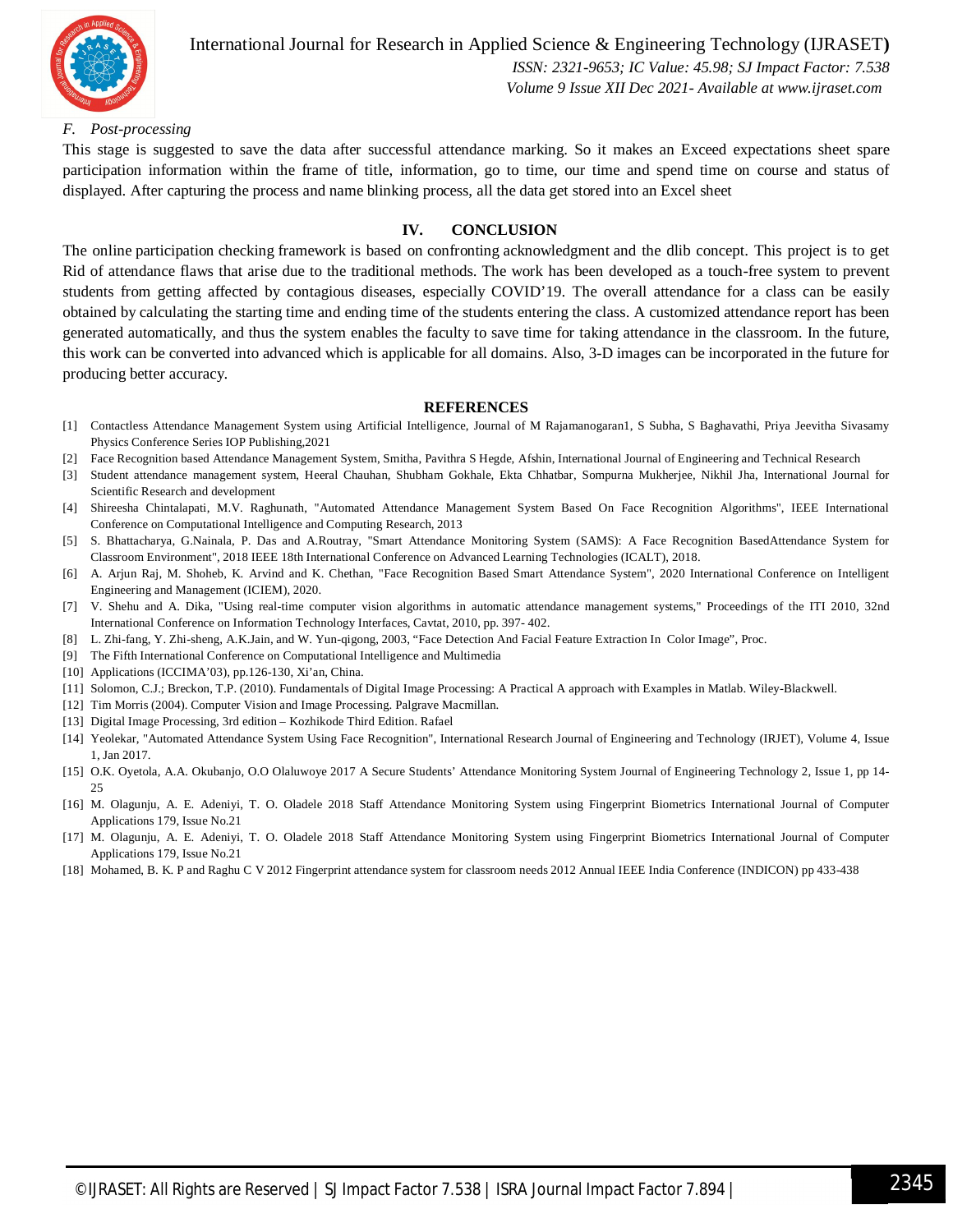

International Journal for Research in Applied Science & Engineering Technology (IJRASET**)**  *ISSN: 2321-9653; IC Value: 45.98; SJ Impact Factor: 7.538*

## *Volume 9 Issue XII Dec 2021- Available at www.ijraset.com*

#### *F. Post-processing*

This stage is suggested to save the data after successful attendance marking. So it makes an Exceed expectations sheet spare participation information within the frame of title, information, go to time, our time and spend time on course and status of displayed. After capturing the process and name blinking process, all the data get stored into an Excel sheet

#### **IV. CONCLUSION**

The online participation checking framework is based on confronting acknowledgment and the dlib concept. This project is to get Rid of attendance flaws that arise due to the traditional methods. The work has been developed as a touch-free system to prevent students from getting affected by contagious diseases, especially COVID'19. The overall attendance for a class can be easily obtained by calculating the starting time and ending time of the students entering the class. A customized attendance report has been generated automatically, and thus the system enables the faculty to save time for taking attendance in the classroom. In the future, this work can be converted into advanced which is applicable for all domains. Also, 3-D images can be incorporated in the future for producing better accuracy.

#### **REFERENCES**

- [1] Contactless Attendance Management System using Artificial Intelligence, Journal of M Rajamanogaran1, S Subha, S Baghavathi, Priya Jeevitha Sivasamy Physics Conference Series IOP Publishing,2021
- [2] Face Recognition based Attendance Management System, Smitha, Pavithra S Hegde, Afshin, International Journal of Engineering and Technical Research
- [3] Student attendance management system, Heeral Chauhan, Shubham Gokhale, Ekta Chhatbar, Sompurna Mukherjee, Nikhil Jha, International Journal for Scientific Research and development
- [4] Shireesha Chintalapati, M.V. Raghunath, "Automated Attendance Management System Based On Face Recognition Algorithms", IEEE International Conference on Computational Intelligence and Computing Research, 2013
- [5] S. Bhattacharya, G.Nainala, P. Das and A.Routray, "Smart Attendance Monitoring System (SAMS): A Face Recognition BasedAttendance System for Classroom Environment", 2018 IEEE 18th International Conference on Advanced Learning Technologies (ICALT), 2018.
- [6] A. Arjun Raj, M. Shoheb, K. Arvind and K. Chethan, "Face Recognition Based Smart Attendance System", 2020 International Conference on Intelligent Engineering and Management (ICIEM), 2020.
- [7] V. Shehu and A. Dika, "Using real-time computer vision algorithms in automatic attendance management systems," Proceedings of the ITI 2010, 32nd International Conference on Information Technology Interfaces, Cavtat, 2010, pp. 397- 402.
- [8] L. Zhi-fang, Y. Zhi-sheng, A.K.Jain, and W. Yun-qigong, 2003, "Face Detection And Facial Feature Extraction In Color Image", Proc.
- [9] The Fifth International Conference on Computational Intelligence and Multimedia
- [10] Applications (ICCIMA'03), pp.126-130, Xi'an, China.
- [11] Solomon, C.J.; Breckon, T.P. (2010). Fundamentals of Digital Image Processing: A Practical A approach with Examples in Matlab. Wiley-Blackwell.
- [12] Tim Morris (2004). Computer Vision and Image Processing. Palgrave Macmillan.
- [13] Digital Image Processing, 3rd edition Kozhikode Third Edition. Rafael
- [14] Yeolekar, "Automated Attendance System Using Face Recognition", International Research Journal of Engineering and Technology (IRJET), Volume 4, Issue 1, Jan 2017.
- [15] O.K. Oyetola, A.A. Okubanjo, O.O Olaluwoye 2017 A Secure Students' Attendance Monitoring System Journal of Engineering Technology 2, Issue 1, pp 14- 25
- [16] M. Olagunju, A. E. Adeniyi, T. O. Oladele 2018 Staff Attendance Monitoring System using Fingerprint Biometrics International Journal of Computer Applications 179, Issue No.21
- [17] M. Olagunju, A. E. Adeniyi, T. O. Oladele 2018 Staff Attendance Monitoring System using Fingerprint Biometrics International Journal of Computer Applications 179, Issue No.21
- [18] Mohamed, B. K. P and Raghu C V 2012 Fingerprint attendance system for classroom needs 2012 Annual IEEE India Conference (INDICON) pp 433-438